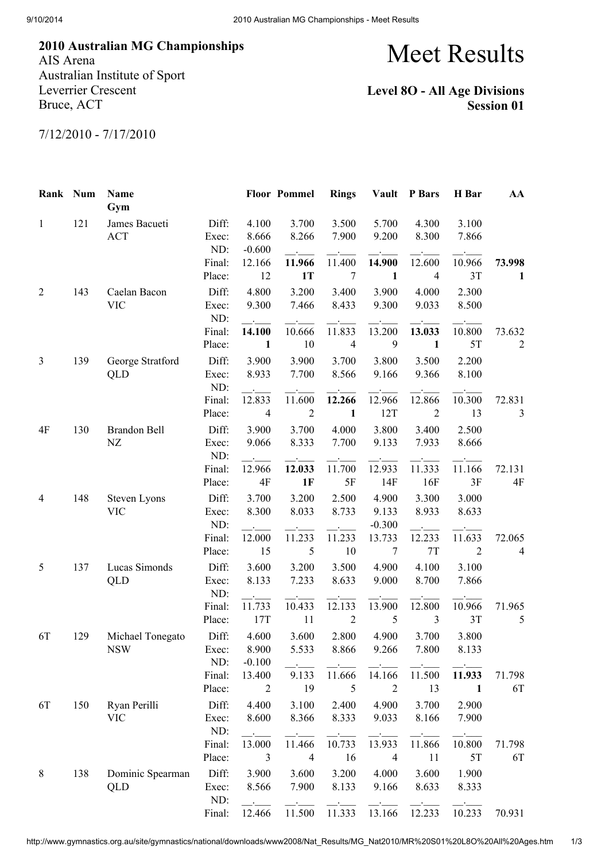2010 Australian MG Championships AIS Arena

Australian Institute of Sport Leverrier Crescent Bruce, ACT

Meet Results

## Level 8O - All Age Divisions Session 01

7/12/2010 - 7/17/2010

| Rank Num       |     | Name<br>Gym                    |                       |                            | <b>Floor Pommel</b>      | <b>Rings</b>             |                            | Vault P Bars             | H Bar                    | AA                       |
|----------------|-----|--------------------------------|-----------------------|----------------------------|--------------------------|--------------------------|----------------------------|--------------------------|--------------------------|--------------------------|
| $\mathbf{1}$   | 121 | James Bacueti<br><b>ACT</b>    | Diff:<br>Exec:<br>ND: | 4.100<br>8.666<br>$-0.600$ | 3.700<br>8.266           | 3.500<br>7.900           | 5.700<br>9.200             | 4.300<br>8.300           | 3.100<br>7.866           |                          |
|                |     |                                | Final:<br>Place:      | 12.166<br>12               | 11.966<br>1T             | 11.400<br>$\overline{7}$ | 14.900<br>$\mathbf{1}$     | 12.600<br>4              | 10.966<br>3T             | 73.998<br>$\mathbf{1}$   |
| $\overline{2}$ | 143 | Caelan Bacon<br><b>VIC</b>     | Diff:<br>Exec:<br>ND: | 4.800<br>9.300             | 3.200<br>7.466           | 3.400<br>8.433           | 3.900<br>9.300             | 4.000<br>9.033           | 2.300<br>8.500           |                          |
|                |     |                                | Final:<br>Place:      | 14.100<br>1                | 10.666<br>10             | 11.833<br>$\overline{4}$ | 13.200<br>9                | 13.033<br>$\mathbf{1}$   | 10.800<br>5T             | 73.632<br>$\overline{2}$ |
| 3              | 139 | George Stratford<br>QLD        | Diff:<br>Exec:<br>ND: | 3.900<br>8.933             | 3.900<br>7.700           | 3.700<br>8.566           | 3.800<br>9.166             | 3.500<br>9.366           | 2.200<br>8.100           |                          |
|                |     |                                | Final:<br>Place:      | 12.833<br>$\overline{4}$   | 11.600<br>$\overline{2}$ | 12.266<br>$\mathbf{1}$   | 12.966<br>12T              | 12.866<br>$\overline{2}$ | 10.300<br>13             | 72.831<br>3              |
| 4F             | 130 | Brandon Bell<br>NZ             | Diff:<br>Exec:<br>ND: | 3.900<br>9.066             | 3.700<br>8.333           | 4.000<br>7.700           | 3.800<br>9.133             | 3.400<br>7.933           | 2.500<br>8.666           |                          |
|                |     |                                | Final:<br>Place:      | 12.966<br>4F               | 12.033<br>1F             | 11.700<br>5F             | 12.933<br>14F              | 11.333<br>16F            | 11.166<br>3F             | 72.131<br>4F             |
| 4              | 148 | Steven Lyons<br><b>VIC</b>     | Diff:<br>Exec:<br>ND: | 3.700<br>8.300             | 3.200<br>8.033           | 2.500<br>8.733           | 4.900<br>9.133<br>$-0.300$ | 3.300<br>8.933           | 3.000<br>8.633           |                          |
|                |     |                                | Final:<br>Place:      | 12.000<br>15               | 11.233<br>5              | 11.233<br>10             | 13.733<br>$\overline{7}$   | 12.233<br>$7\mathrm{T}$  | 11.633<br>$\overline{2}$ | 72.065<br>$\overline{4}$ |
| 5              | 137 | Lucas Simonds<br>QLD           | Diff:<br>Exec:<br>ND: | 3.600<br>8.133             | 3.200<br>7.233           | 3.500<br>8.633           | 4.900<br>9.000             | 4.100<br>8.700           | 3.100<br>7.866           |                          |
|                |     |                                | Final:<br>Place:      | 11.733<br>17T              | 10.433<br>11             | 12.133<br>$\overline{2}$ | 13.900<br>5                | 12.800<br>3              | 10.966<br>3T             | 71.965<br>5              |
| 6T             | 129 | Michael Tonegato<br><b>NSW</b> | Diff:<br>Exec:<br>ND: | 4.600<br>8.900<br>$-0.100$ | 3.600<br>5.533           | 2.800<br>8.866           | 4.900<br>9.266             | 3.700<br>7.800           | 3.800<br>8.133           |                          |
|                |     |                                | Final:<br>Place:      | 13.400<br>2                | 9.133<br>19              | 11.666<br>5              | 14.166<br>$\overline{2}$   | 11.500<br>13             | 11.933<br>$\mathbf{1}$   | 71.798<br>6T             |
| 6T             | 150 | Ryan Perilli<br><b>VIC</b>     | Diff:<br>Exec:<br>ND: | 4.400<br>8.600             | 3.100<br>8.366           | 2.400<br>8.333           | 4.900<br>9.033             | 3.700<br>8.166           | 2.900<br>7.900           |                          |
|                |     |                                | Final:<br>Place:      | 13.000<br>3                | 11.466<br>$\overline{4}$ | 10.733<br>16             | 13.933<br>$\overline{4}$   | 11.866<br>11             | 10.800<br>5T             | 71.798<br>6T             |
| 8              | 138 | Dominic Spearman<br>QLD        | Diff:<br>Exec:<br>ND: | 3.900<br>8.566             | 3.600<br>7.900           | 3.200<br>8.133           | 4.000<br>9.166             | 3.600<br>8.633           | 1.900<br>8.333           |                          |
|                |     |                                | Final:                | 12.466                     | 11.500                   | 11.333                   | 13.166                     | 12.233                   | 10.233                   | 70.931                   |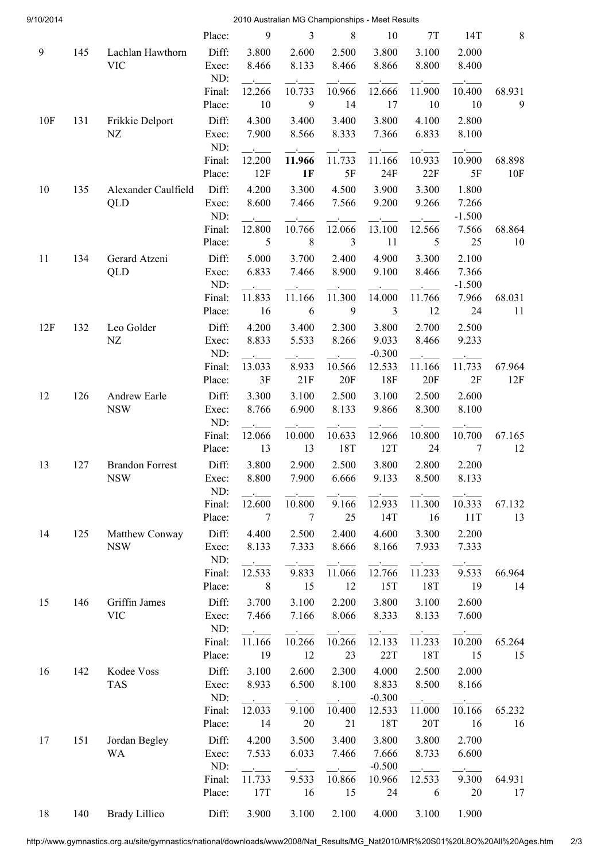| 9/10/2014 |     |                                      |                |                | 2010 Australian MG Championships - Meet Results |                |                          |                |                   |         |
|-----------|-----|--------------------------------------|----------------|----------------|-------------------------------------------------|----------------|--------------------------|----------------|-------------------|---------|
|           |     |                                      | Place:         | 9              | 3                                               | 8              | 10                       | 7T             | 14T               | $\,8\,$ |
| 9         | 145 | Lachlan Hawthorn<br><b>VIC</b>       | Diff:<br>Exec: | 3.800<br>8.466 | 2.600<br>8.133                                  | 2.500<br>8.466 | 3.800<br>8.866           | 3.100<br>8.800 | 2.000<br>8.400    |         |
|           |     |                                      | ND:<br>Final:  | 12.266         | <b>Contract Contract</b><br>10.733              | 10.966         | <b>Service</b><br>12.666 | 11.900         | 10.400            | 68.931  |
|           |     |                                      | Place:         | 10             | 9                                               | 14             | 17                       | 10             | 10                | 9       |
| 10F       | 131 | Frikkie Delport                      | Diff:          | 4.300          | 3.400                                           | 3.400          | 3.800                    | 4.100          | 2.800             |         |
|           |     | NZ                                   | Exec:<br>ND:   | 7.900          | 8.566                                           | 8.333          | 7.366                    | 6.833          | 8.100             |         |
|           |     |                                      | Final:         | 12.200         | 11.966                                          | 11.733         | 11.166                   | 10.933         | 10.900            | 68.898  |
|           |     |                                      | Place:         | 12F            | 1F                                              | $5F$           | 24F                      | 22F            | 5F                | 10F     |
| 10        | 135 | Alexander Caulfield                  | Diff:          | 4.200          | 3.300                                           | 4.500          | 3.900                    | 3.300          | 1.800             |         |
|           |     | QLD                                  | Exec:<br>ND:   | 8.600          | 7.466                                           | 7.566          | 9.200                    | 9.266          | 7.266<br>$-1.500$ |         |
|           |     |                                      | Final:         | 12.800         | 10.766                                          | 12.066         | 13.100                   | 12.566         | 7.566             | 68.864  |
|           |     |                                      | Place:         | 5              | 8                                               | 3              | 11                       | 5              | 25                | 10      |
| 11        | 134 | Gerard Atzeni                        | Diff:          | 5.000          | 3.700                                           | 2.400          | 4.900                    | 3.300          | 2.100             |         |
|           |     | QLD                                  | Exec:<br>ND:   | 6.833          | 7.466                                           | 8.900          | 9.100                    | 8.466          | 7.366<br>$-1.500$ |         |
|           |     |                                      | Final:         | 11.833         | 11.166                                          | 11.300         | 14.000                   | 11.766         | 7.966             | 68.031  |
|           |     |                                      | Place:         | 16             | 6                                               | 9              | 3                        | 12             | 24                | 11      |
| 12F       | 132 | Leo Golder                           | Diff:          | 4.200          | 3.400                                           | 2.300          | 3.800                    | 2.700          | 2.500             |         |
|           |     | NZ                                   | Exec:<br>ND:   | 8.833          | 5.533                                           | 8.266          | 9.033<br>$-0.300$        | 8.466          | 9.233             |         |
|           |     |                                      | Final:         | 13.033         | 8.933                                           | 10.566         | 12.533                   | 11.166         | 11.733            | 67.964  |
|           |     |                                      | Place:         | 3F             | 21F                                             | 20F            | 18F                      | 20F            | 2F                | 12F     |
| 12        | 126 | Andrew Earle                         | Diff:          | 3.300          | 3.100                                           | 2.500          | 3.100                    | 2.500          | 2.600             |         |
|           |     | <b>NSW</b>                           | Exec:<br>ND:   | 8.766          | 6.900                                           | 8.133          | 9.866                    | 8.300          | 8.100             |         |
|           |     |                                      | Final:         | 12.066         | 10.000                                          | 10.633         | 12.966                   | 10.800         | 10.700            | 67.165  |
|           |     |                                      | Place:         | 13             | 13                                              | 18T            | 12T                      | 24             | $\overline{7}$    | 12      |
| 13        | 127 | <b>Brandon Forrest</b><br><b>NSW</b> | Diff:<br>Exec: | 3.800<br>8.800 | 2.900<br>7.900                                  | 2.500<br>6.666 | 3.800<br>9.133           | 2.800<br>8.500 | 2.200<br>8.133    |         |
|           |     |                                      | ND:            |                |                                                 |                |                          |                |                   |         |
|           |     |                                      | Final:         | 12.600         | 10.800                                          | 9.166          | 12.933                   | 11.300         | 10.333            | 67.132  |
|           |     |                                      | Place:         | $\overline{7}$ | $7\phantom{.0}$                                 | 25             | 14T                      | 16             | 11T               | 13      |
| 14        | 125 | Matthew Conway                       | Diff:          | 4.400          | 2.500                                           | 2.400          | 4.600                    | 3.300          | 2.200             |         |
|           |     | <b>NSW</b>                           | Exec:<br>ND:   | 8.133          | 7.333                                           | 8.666          | 8.166                    | 7.933          | 7.333             |         |
|           |     |                                      | Final:         | 12.533         | 9.833                                           | 11.066         | 12.766                   | 11.233         | 9.533             | 66.964  |
|           |     |                                      | Place:         | 8              | 15                                              | 12             | 15T                      | 18T            | -19               | 14      |
| 15        | 146 | Griffin James                        | Diff:          | 3.700          | 3.100                                           | 2.200          | 3.800                    | 3.100          | 2.600             |         |
|           |     | <b>VIC</b>                           | Exec:<br>ND:   | 7.466          | 7.166                                           | 8.066          | 8.333                    | 8.133          | 7.600             |         |
|           |     |                                      | Final:         | 11.166         | 10.266                                          | 10.266         | 12.133                   | 11.233         | 10.200            | 65.264  |
|           |     |                                      | Place:         | 19             | 12                                              | 23             | 22T                      | 18T            | 15                | 15      |
| 16        | 142 | Kodee Voss                           | Diff:          | 3.100          | 2.600                                           | 2.300          | 4.000                    | 2.500          | 2.000             |         |
|           |     | <b>TAS</b>                           | Exec:          | 8.933          | 6.500                                           | 8.100          | 8.833                    | 8.500          | 8.166             |         |
|           |     |                                      | ND:<br>Final:  | 12.033         | 9.100                                           | 10.400         | $-0.300$<br>12.533       | 11.000         | 10.166            | 65.232  |
|           |     |                                      | Place:         | 14             | 20                                              | 21             | 18T                      | 20T            | 16                | 16      |
| 17        | 151 | Jordan Begley                        | Diff:          | 4.200          | 3.500                                           | 3.400          | 3.800                    | 3.800          | 2.700             |         |
|           |     | WA                                   | Exec:          | 7.533          | 6.033                                           | 7.466          | 7.666                    | 8.733          | 6.600             |         |
|           |     |                                      | ND:            |                |                                                 |                | $-0.500$                 |                |                   |         |
|           |     |                                      | Final:         | 11.733         | 9.533                                           | 10.866         | 10.966                   | 12.533         | 9.300             | 64.931  |
|           |     |                                      | Place:         | 17T            | 16                                              | 15             | 24                       | 6              | 20                | 17      |
| 18        | 140 | <b>Brady Lillico</b>                 | Diff:          | 3.900          | 3.100                                           | 2.100          | 4.000                    | 3.100          | 1.900             |         |